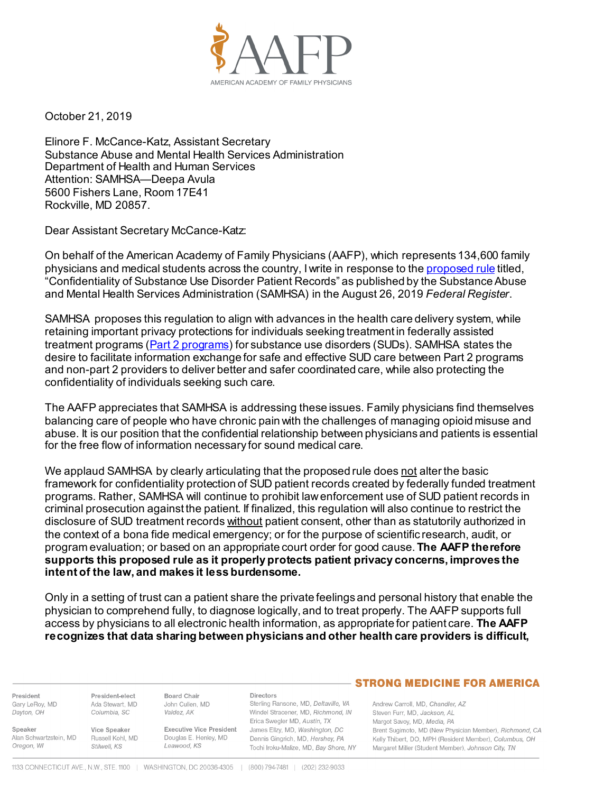

October 21, 2019

Elinore F. McCance-Katz, Assistant Secretary Substance Abuse and Mental Health Services Administration Department of Health and Human Services Attention: SAMHSA—Deepa Avula 5600 Fishers Lane, Room 17E41 Rockville, MD 20857.

Dear Assistant Secretary McCance-Katz:

On behalf of the American Academy of Family Physicians (AAFP), which represents 134,600 family physicians and medical students across the country, I write in response to th[e proposed rule](https://www.govinfo.gov/content/pkg/FR-2019-08-26/pdf/2019-17817.pdf) titled, "Confidentiality of Substance Use Disorder Patient Records" as published by the Substance Abuse and Mental Health Services Administration (SAMHSA) in the August 26, 2019 *Federal Register*.

SAMHSA proposes this regulation to align with advances in the health care delivery system, while retaining important privacy protections for individuals seeking treatment in federally assisted treatment programs [\(Part 2 programs\)](https://www.samhsa.gov/sites/default/files/does-part2-apply.pdf) for substance use disorders (SUDs). SAMHSA states the desire to facilitate information exchange for safe and effective SUD care between Part 2 programs and non-part 2 providers to deliver better and safer coordinated care, while also protecting the confidentiality of individuals seeking such care.

The AAFP appreciates that SAMHSA is addressing these issues. Family physicians find themselves balancing care of people who have chronic pain with the challenges of managing opioid misuse and abuse. It is our position that the confidential relationship between physicians and patients is essential for the free flow of information necessary for sound medical care.

We applaud SAMHSA by clearly articulating that the proposed rule does not alter the basic framework for confidentiality protection of SUD patient records created by federally funded treatment programs. Rather, SAMHSA will continue to prohibit law enforcement use of SUD patient records in criminal prosecution against the patient. If finalized, this regulation will also continue to restrict the disclosure of SUD treatment records without patient consent, other than as statutorily authorized in the context of a bona fide medical emergency; or for the purpose of scientific research, audit, or program evaluation; or based on an appropriate court order for good cause. **The AAFP therefore supports this proposed rule as it properly protects patient privacy concerns, improves the intent of the law, and makes it less burdensome.**

Only in a setting of trust can a patient share the private feelings and personal history that enable the physician to comprehend fully, to diagnose logically, and to treat properly. The AAFP supports full access by physicians to all electronic health information, as appropriate for patient care. **The AAFP recognizes that data sharing between physicians and other health care providers is difficult,** 

President Gary LeRoy, MD Dayton, OH

President-elect Ada Stewart, MD Columbia, SC

Speaker Vice Speaker Alan Schwartzstein, MD Russell Kohl, MD Oregon, WI Stilwell, KS

Valdez, AK **Executive Vice President** Douglas E. Henley, MD

**Directors** Sterling Ransone, MD, Deltaville, VA

Windel Stracener, MD, Richmond, IN Erica Swegler MD, Austin, TX James Ellzy, MD, Washington, DC Dennis Gingrich, MD, Hershey, PA Tochi Iroku-Malize, MD, Bay Shore, NY

## **STRONG MEDICINE FOR AMERICA**

Andrew Carroll, MD, Chandler, AZ Steven Furr, MD, Jackson, AL Margot Savoy, MD, Media, PA Brent Sugimoto, MD (New Physician Member), Richmond, CA Kelly Thibert, DO, MPH (Resident Member), Columbus, OH Margaret Miller (Student Member), Johnson City, TN

Leawood, KS

**Board Chair** 

John Cullen, MD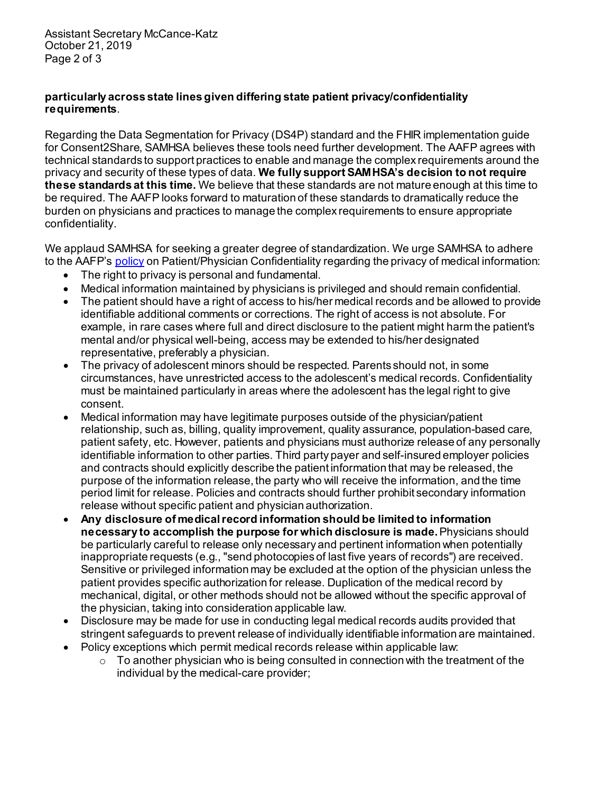Assistant Secretary McCance-Katz October 21, 2019 Page 2 of 3

## **particularly across state lines given differing state patient privacy/confidentiality requirements**.

Regarding the Data Segmentation for Privacy (DS4P) standard and the FHIR implementation guide for Consent2Share, SAMHSA believes these tools need further development. The AAFP agrees with technical standards to support practices to enable and manage the complex requirements around the privacy and security of these types of data. **We fully support SAMHSA's decision to not require these standards at this time.** We believe that these standards are not mature enough at this time to be required. The AAFP looks forward to maturation of these standards to dramatically reduce the burden on physicians and practices to manage the complex requirements to ensure appropriate confidentiality.

We applaud SAMHSA for seeking a greater degree of standardization. We urge SAMHSA to adhere to the AAFP's [policy](https://www.aafp.org/about/policies/all/patient-confidentiality.html) on Patient/Physician Confidentiality regarding the privacy of medical information:

- The right to privacy is personal and fundamental.
- Medical information maintained by physicians is privileged and should remain confidential.
- The patient should have a right of access to his/her medical records and be allowed to provide identifiable additional comments or corrections. The right of access is not absolute. For example, in rare cases where full and direct disclosure to the patient might harm the patient's mental and/or physical well-being, access may be extended to his/her designated representative, preferably a physician.
- The privacy of adolescent minors should be respected. Parents should not, in some circumstances, have unrestricted access to the adolescent's medical records. Confidentiality must be maintained particularly in areas where the adolescent has the legal right to give consent.
- Medical information may have legitimate purposes outside of the physician/patient relationship, such as, billing, quality improvement, quality assurance, population-based care, patient safety, etc. However, patients and physicians must authorize release of any personally identifiable information to other parties. Third party payer and self-insured employer policies and contracts should explicitly describe the patient information that may be released, the purpose of the information release, the party who will receive the information, and the time period limit for release. Policies and contracts should further prohibit secondary information release without specific patient and physician authorization.
- **Any disclosure of medical record information should be limited to information necessary to accomplish the purpose for which disclosure is made.** Physicians should be particularly careful to release only necessary and pertinent information when potentially inappropriate requests (e.g., "send photocopies of last five years of records") are received. Sensitive or privileged information may be excluded at the option of the physician unless the patient provides specific authorization for release. Duplication of the medical record by mechanical, digital, or other methods should not be allowed without the specific approval of the physician, taking into consideration applicable law.
- Disclosure may be made for use in conducting legal medical records audits provided that stringent safeguards to prevent release of individually identifiable information are maintained.
- Policy exceptions which permit medical records release within applicable law:
	- $\circ$  To another physician who is being consulted in connection with the treatment of the individual by the medical-care provider;